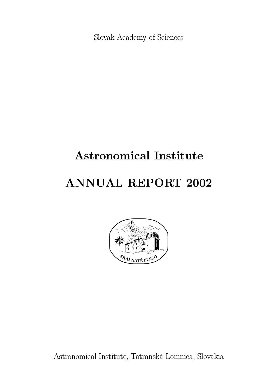Slovak Academy of Sciences

# **Astronomical Institute**

# **ANNUAL REPORT 2002**



Astronomical Institute, Tatranská Lomnica, Slovakia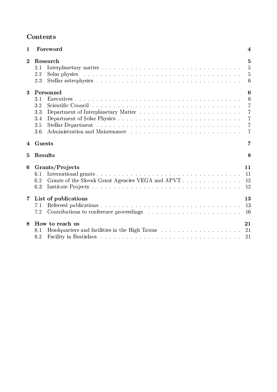# **- Andreas Andreas Andreas Andreas Andreas Andreas Andreas Andreas Andreas Andreas Andreas Andreas Andreas Andr**

| $\mathbf{1}$   | Foreword                                                                                                                                                                                                                                                            | 4                               |
|----------------|---------------------------------------------------------------------------------------------------------------------------------------------------------------------------------------------------------------------------------------------------------------------|---------------------------------|
| $\overline{2}$ | Research<br>2.1<br>2.2<br>2.3                                                                                                                                                                                                                                       | 5<br>5<br>5<br>6                |
| $\bf{3}$       | Personnel<br>3.1<br>3.2<br>3.3<br>3.4<br>3.5<br>3.6                                                                                                                                                                                                                 | 6<br>6<br>7<br>7<br>7<br>7<br>7 |
| 4              | Guests                                                                                                                                                                                                                                                              | 7                               |
| 5              | Results                                                                                                                                                                                                                                                             | 8                               |
| 6              | Grants/Projects<br>6.1<br>Grants of the Slovak Grant Agencies VEGA and APVT<br>6.2<br>6.3                                                                                                                                                                           | 11<br>11<br>12<br>12            |
| $\overline{7}$ | List of publications<br>7.1<br>7.2<br>Contributions to conference proceedings exercises in the set of the set of the set of the set of the set of the set of the set of the set of the set of the set of the set of the set of the set of the set of the set of the | 13<br>13<br>16                  |
| 8              | How to reach us<br>8.1<br>8.2                                                                                                                                                                                                                                       | 21<br>21<br>21                  |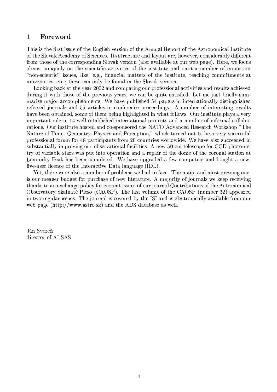#### $\mathbf{1}$ Foreword

This is the first issue of the English version of the Annual Report of the Astronomical Institute of the Slovak Academy of Sciences. Its structure and layout are, however, considerably different from those of the corresponding Slovak version (also available at our web page). Here, we focus almost uniquely on the scientific activities of the institute and omit a number of important "non-scientic" issues, like, e.g., financial matters of the institute, teaching commitments at universities, etc.; these can only be found in the Slovak version.

Looking back at the year 2002 and comparing our professional activities and results achieved during it with those of the previous years, we can be quite satisfied. Let me just briefly summarise major accomplishments. We have published 54 papers in internationally distinguished refereed journals and 55 articles in conference proceedings. A number of interesting results have been obtained, some of them being highlighted in what follows. Our institute plays a very important role in 14 well-established international projects and a number of informal collaborations. Our institute hosted and co-sponsored the NATO Advanced Research Workshop "The Nature of Time: Geometry, Physics and Perception," which turned out to be a very successful professional forum for 48 participants from 20 countries worldwide. We have also succeeded in substantially improving our observational facilities. A new 50-cm telescope for CCD photometry of variable stars was put into operation and a repair of the dome of the coronal station at Lomnický Peak has been completed. We have upgraded a few computers and bought a new, five-user licence of the Interactive Data language (IDL).

Yet, there were also a number of problems we had to face. The main, and most pressing one, is our meager budget for purchase of new literature. A majority of journals we keep receiving thanks to an exchange policy for current issues of our journal Contributions of the Astronomical Observatory Skalnaté Pleso (CAOSP). The last volume of the CAOSP (number 32) appeared in two regular issues. The journal is covered by the ISI and is electronically available from our web page (http://www.astro.sk) and the ADS database as well.

Ján Svoreň director of AI SAS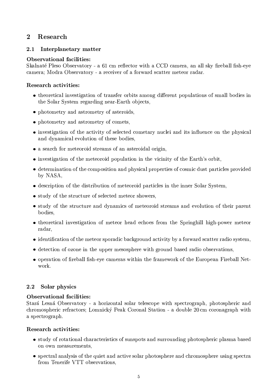#### $\overline{2}$ Research

#### $2.1$ Interplanetary matter

# **Observational facilities:**

Skalnaté Pleso Observatory - a 61 cm reflector with a CCD camera, an all sky fireball fish-eye camera; Modra Observatory - a receiver of a forward scatter meteor radar.

# Research activities:

- theoretical investigation of transfer orbits among different populations of small bodies in the Solar System regarding near-Earth objects.
- photometry and astrometry of asteroids,
- photometry and astrometry of comets,
- investigation of the activity of selected cometary nuclei and its influence on the physical and dynamical evolution of these bodies,
- a search for meteoroid streams of an asteroidal origin,
- investigation of the meteoroid population in the vicinity of the Earth's orbit,
- determination of the composition and physical properties of cosmic dust particles provided by NASA,
- $\bullet$  description of the distribution of meteoroid particles in the inner Solar System,
- study of the structure of selected meteor showers,
- study of the structure and dynamics of meteoroid streams and evolution of their parent bodies.
- theoretical investigation of meteor head echoes from the Springhill high-power meteor radar,
- identification of the meteor sporadic background activity by a forward scatter radio system,
- detection of ozone in the upper mesosphere with ground based radio observations,
- operation of fireball fish-eve cameras within the framework of the European Fireball Network.

#### Solar physics  $2.2$

# **Observational facilities:**

Stará Lesná Observatory - a horizontal solar telescope with spectrograph, photospheric and chromospheric refractors: Lomnický Peak Coronal Station - a double 20cm coronagraph with a spectrograph.

# **Research activities:**

- study of rotational characteristics of sunspots and surrounding photospheric plasma based on own measurements,
- spectral analysis of the quiet and active solar photosphere and chromosphere using spectra from Tenerife VTT observations,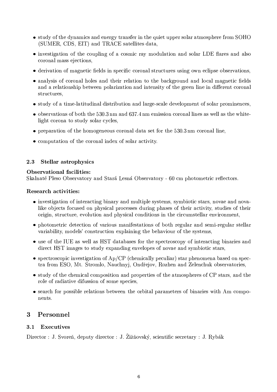- study of the dynamics and energy transfer in the quiet upper solar atmosphere from SOHO (SUMER, CDS, EIT) and TRACE satellites data,
- investigation of the coupling of a cosmic ray modulation and solar LDE flares and also coronal mass ejections,
- derivation of magnetic fields in specific coronal structures using own eclipse observations,
- analysis of coronal holes and their relation to the background and local magnetic fields and a relationship between polarization and intensity of the green line in different coronal structures.
- study of a time-latitudinal distribution and large-scale development of solar prominences,
- $\bullet$  observations of both the 530.3 nm and 637.4 nm emission coronal lines as well as the whitelight corona to study solar cycles.
- $\bullet$  preparation of the homogeneous coronal data set for the 530.3 nm coronal line,
- computation of the coronal index of solar activity.

#### 2.3 **Stellar astrophysics**

# Observational facilities:

Skalnaté Pleso Observatory and Stará Lesná Observatory - 60 cm photometric reflectors.

# Research activities:

- investigation of interacting binary and multiple systems, symbiotic stars, novae and novalike objects focused on physical processes during phases of their activity, studies of their origin, structure, evolution and physical conditions in the circumstellar environment,
- photometric detection of various manifestations of both regular and semi-regular stellar variability, models' construction explaining the behaviour of the systems,
- use of the IUE as well as HST databases for the spectroscopy of interacting binaries and direct HST images to study expanding envelopes of novae and symbiotic stars.
- spectroscopic investigation of  $Ap/CP$  (chemically peculiar) star phenomena based on spectra from ESO, Mt. Stromlo, Nauchnyj, Ondřejov, Rozhen and Zelenchuk observatories,
- $\bullet$  study of the chemical composition and properties of the atmospheres of CP stars, and the role of radiative difussion of some species,
- search for possible relations between the orbital parameters of binaries with Am components.

#### 3 Personnel

#### $3.1$ Executives

Director : J. Svoreň, deputy director : J. Žižňovský, scientific secretary : J. Rybák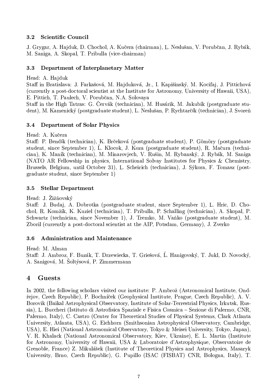#### **Scientific Council** 3.2

J. Grygar, A. Hajduk, D. Chochol, A. Kučera (chairman), L. Neslušan, V. Porubčan, J. Rybák, M. Saniga, A. Skopal, T. Pribulla (vice-chairman)

#### 3.3 Department of Interplanetary Matter

### Head: A. Hajduk

Staff in Bratislava: J. Farkašová, M. Hajduková, Jr., I. Kapišinský, M. Kocifaj, J. Pittichová (currently a post-doctoral scientist at the Institute for Astronomy, University of Hawaii, USA), E. Pittich, T. Paulech, V. Porubčan, N.A. Solovaya

Staff in the High Tatras: G. Červák (technician), M. Husárik, M. Jakubík (postgraduate student), M. Kamenický (postgraduate student), L. Neslušan, P. Rychtarčík (technician), J. Svoreň

#### **Department of Solar Physics** 3.4

Head: A. Kučera

Staff: P. Bendík (technician), K. Brčeková (postgraduate student), P. Gömöry (postgraduate student, since September 1), L. Klocok, J. Koza (postgraduate student), R. Mačura (technician), K. Maník (technician), M. Minarovjech, V. Rušin, M. Rybanský, J. Rybák, M. Saniga (NATO AR Fellowship in physics, International Solvay Institutes for Physics & Chemistry, Brussels, Belgium, until October 31), L. Scheirich (technician), J. Sýkora, F. Tomasz (postgraduate student, since September 1)

#### **Stellar Department**  $3.5$

# Head: J. Žižňovský

Staff: J. Budaj, A. Dobrotka (postgraduate student, since September 1), L. Hric, D. Chochol, R. Komžík, K. Kuziel (technician), T. Pribulla, P. Schalling (technician), A. Skopal, P. Schwartz (technician, since November 1), J. Tremko, M. Vaňko (postgraduate student), M. Zboril (currently a post-doctoral scientist at the AIP, Potsdam, Germany), J. Zverko

#### 3.6 **Administration and Maintenance**

Head: M. Alman Staff: J. Ambroz, F. Buzák, T. Drzewiecka, T. Griešová, Ľ. Hanigovský, T. Jukl, D. Novocký, A. Sanigová, M. Soltýsová, P. Zimmermann

#### $\overline{\mathbf{4}}$ Guests

In 2002, the following scholars visited our institute: P. Ambrož (Astronomical Institute, Ondřejov, Czech Republic), P. Bochníček (Geophysical Institute, Prague, Czech Republic), A. V. Borovik (Baikal Astrophysical Observatory, Institute of Solar-Terrestrial Physics, Irkutsk, Russia), L. Buccheri (Istituto di Astrofisica Spaziale e Fisica Cosmica – Sezione di Palermo, CNR, Palermo, Italy), C. Castro (Center for Theoretical Studies of Physical Systems, Clark Atlanta University, Atlanta, USA), G. Eichhorn (Smithsonian Astrophysical Observatory, Cambridge, USA), E. Hiei (National Astronomical Observatory, Tokyo & Meisei University, Tokyo, Japan), V. R. Khalack (National Astronomical Observatory, Kiev, Ukraine), E. L. Martin (Institute for Astronomy, University of Hawaii, USA & Laboratoire d'Astrophysique, Observatoire de Grenoble, France) Z. Mikulášek (Institute of Theoretical Physics and Astrophysics, Masaryk University, Brno, Czech Republic), G. Pupillo (ISAC (FISBAT) CNR, Bologna, Italy), T.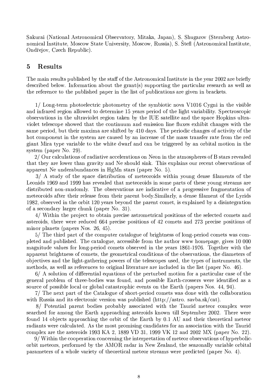Sakurai (National Astronomical Observatory, Mitaka, Japan), S. Shugarov (Sternberg Astronomical Institute, Moscow State University, Moscow, Russia), S. Štefl (Astronomical Institute, Ondřejov, Czech Republic).

#### **Results**  $\overline{5}$

The main results published by the staff of the Astronomical Institute in the year 2002 are briefly described below. Information about the grant(s) supporting the particular research as well as the reference to the published paper in the list of publications are given in brackets.

1/ Long-term photoelectric photometry of the symbiotic nova V1016 Cygni in the visible and infrared region allowed to determine 15 years period of the light variability. Spectroscopic observations in the ultraviolet region taken by the IUE satellite and the space Hopkins ultraviolet telescope showed that the continuum and emission line fluxes exhibit changes with the same period, but their maxima are shifted by 410 days. The periodic changes of activity of the hot component in the system are caused by an increase of the mass transfer rate from the red giant Mira type variable to the white dwarf and can be triggered by an orbital motion in the system (paper No. 29).

2/ Our calculations of radiative accelerations on Neon in the atmospheres of B stars revealed that they are lower than gravity and Ne should sink. This explains our recent observations of apparent Ne underabundances in HgMn stars (paper No. 5).

3/ A study of the space distribution of meteoroids within young dense filaments of the Leonids 1969 and 1999 has revealed that meteoroids in some parts of these young streams are distributed non-randomly. The observations are indicative of a progressive fragmentation of meteoroids after their release from their parent body. Similarly, a dense filament of the Lyrids 1982, observed in the orbit 120 years beyond the parent comet, is explained by a disintegration of a secondary larger chunk (paper No. 31).

4/ Within the project to obtain precise astrometrical positions of the selected comets and asteroids, there were reduced 664 precise positions of 42 comets and 273 precise positions of minor planets (papers Nos. 26, 45).

5/ The third part of the computer catalogue of brightness of long-period comets was completed and published. The catalogue, accessible from the author www homepage, gives 10 000 magnitude values for long-period comets observed in the years 1861-1976. Together with the apparent brightness of comets, the geometrical conditions of the observations, the diameters of objectives and the light-gathering powers of the telescopes used, the types of instruments, the methods, as well as references to original literature are included in the list (paper No. 46).

6/ A solution of differential equations of the perturbed motion for a particular case of the general problem of three-bodies was found, and possible Earth-crossers were identified as a source of possible local or global catastrophic events on the Earth (papers Nos. 44, 94).

7/ The next part of the Catalogue of short-period comets was done with the collaboration with Russia and its electronic version was published  $(\text{http://astro.savba-sk/cat}).$ 

8/ Potential parent bodies probably associated with the Taurid meteor complex were searched for among the Earth approaching asteroids known till September 2002. There were found 14 objects approaching the orbit of the Earth by 0.1 AU and their theoretical meteor radiants were calculated. As the most promising candidates for an association with the Taurid complex are the asteroids 1993 KA 2, 1889 VD 31, 1999 VK 12 and 2002 MX (paper No. 22).

9/Within the cooperation concerning the interpretation of meteor observations of hyperbolicorbit meteors, performed by the AMOR radar in New Zealand, the seazonally variable orbital parameters of a whole variety of theoretical meteor streams were predicted (paper No. 4).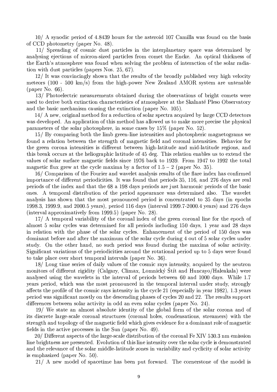10/ A synodic period of 4.8439 hours for the asteroid 107 Camilla was found on the basis of CCD photometry (paper No. 48).

11/ Spreading of cosmic dust particles in the interplanetary space was determined by analysing ejections of micron-sized particles from comet the Encke. An optical thickness of the Earth's atmosphere was found when solving the problem of interaction of the solar radiation with dust particles (papers Nos. 25, 67).

12/ It was convincingly shown that the results of the broadly published very high velocity meteors (100 - 500 km/s) from the high-power New Zealand AMOR system are untenable (paper No. 66).

13/ Photoelectric measurements obtained during the observations of bright comets were used to derive both extinction characteristics of atmosphere at the Skalnaté Pleso Observatory and the basic mechanism causing the extinction (paper No. 105).

14/ A new, original method for a reduction of solar spectra acquired by large CCD detectors was developed. An application of this method has allowed us to make more precise the physical parameters of the solar photosphere, in some cases by  $15\%$  (paper No. 52).

15/ By comparing both the limb green-line intensities and photospheric magnetograms we found a relation between the strength of magnetic field and coronal intensities. Behavior for the green corona intensities is different between high-latitude and mid-latitude regions, and this break occurs at the heliographic latitude of 45 deg. This relation enables us to extend the values of solar surface magnetic fields since 1976 back to 1939. From 1947 to 1992 the total magnetic flux grew at the cycle maxima by a factor of  $1.5 - 2$  (paper No. 35).

16/ Comparison of the Fourier and wavelet analysis results of the flare index has confirmed importance of different periodicities. It was found that periods 35, 116, and 276 days are real periods of the index and that the 68 a 198 days periods are just harmonic periods of the basic ones. A temporal distribution of the period appearance was determined also. The wavelet analysis has shown that the most pronounced period is concentrated to 35 days (in epochs 1998.3, 1999.9, and 2000.5 years), period 116 days (interval 1999.7-2000.4 years) and 276 days (interval approximatively from 1999.5) (paper No. 28).

17/ A temporal variability of the coronal index of the green coronal line for the epoch of almost 5 solar cycles was determined for all periods including 150 days, 1 year and 28 days in relation with the phase of the solar cycles. Enhancement of the period of 150 days was dominant before and after the maximum of the solar cycle during 4 out of 5 solar cycles under study. On the other hand, no such period was found during the maxima of solar activity. Significant variations of the periodicities around the rotational period up to 5 days were found to take place over short temporal intervals (paper No. 36).

18/ Long time series of daily values of the cosmic rays intensity, acquired by the neutron monitors of different rigidity (Calgary, Climax, Lomnický Štít and Huncayo/Haleakala) were analysed using the wavelets in the interval of periods between 60 and 1000 days. While 1.7 years period, which was the most pronounced in the temporal interval under study, strongly affects the profile of the cosmic rays intensity in the cycle 21 (especially in year 1982), 1.3 years period was significant mostly on the descending phases of cycles 20 and 22. The results support differences between solar activity in odd an even solar cycles (paper No. 24).

19/ We state an almost absolute identity of the global form of the solar corona and of its discrete large-scale coronal structures (coronal holes, condensations, streamers) with the strength and topology of the magnetic field which gives evidence for a dominant role of magnetic fields in the active processes in the Sun (paper No. 49).

20/ Different aspects of the large-scale distribution of the coronal Fe XIV 530.3 nm emission line brightness are presented. Evolution of this line intensity over the solar cycle is demonstrated and the relevance of the solar middle-latitude zones in variability and cyclicity of solar activity is emphasized (paper No. 50).

21/ A new model of spacetime has been put forward. The cornerstone of the model is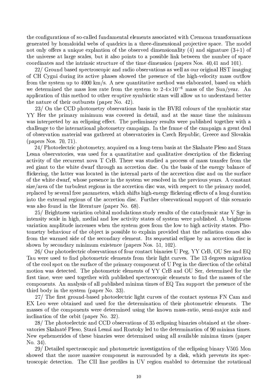the configurations of so-called fundamental elements associated with Cremona transformations generated by homaloidal webs of quadrics in a three-dimensional projective space. The model not only offers a unique explantion of the observed dimensionality (4) and signature  $(3+1)$  of the universe at large scales, but it also points to a possible link between the number of space coordinates and the intrinsic structure of the time dimension (papers Nos. 40,41 and 101).

22/ Ground based spectroscopic and radio observations as well as our original HST imaging of CH Cygni during its active phases showed the presence of the high-velocity mass outflow from the system up to  $4000 \text{ km/s}$ . A new quantitative method was elaborated, based on which we determined the mass loss rate from the system to  $2-4\times10^{-6}$  mass of the Sun/year. An application of this method to other eruptive symbiotic stars will allow us to understand better the nature of their outbursts (paper No. 42).

23/ On the CCD photometry observations basis in the BVRI colours of the symbiotic star YY Her the primary minimum was covered in detail, and at the same time the minimum was interpreted by an eclipsing effect. The preliminary results were published together with a challenge to the international photometry campaign. In the frame of the campaign a great deal of observation material was gathered at observatories in Czech Republic, Greece and Slovakia (papers Nos. 70, 71).

24/ Photoelectric photometry, acquired on a long-term basis at the Skalnate Pleso and Stara Lesna observatories, was used for a quantitative and qualitative description of the flickering activity of the recurrent nova T CrB. There was studied a process of mass transfer from the red giant to the white dwarf through an accretion disc. On the basis of the energy balance of flickering, the latter was located in the internal parts of the accrection disc and on the surface of the white dwarf, whose presence in the system we resolved in the previous years. A constant size/area of the turbulent regions in the accretion disc was, with respect to the primary model, replaced by several free parameters, which shifts high-energy flickering effects of a long duration into the external regions of the accretion disc. Further observational support of this scenario was also found in the literature (paper No. 68).

25/ Brightness variation orbital modulations study results of the cataclysmic star V Sge in intensity scale in high, medial and low activity states of system were published. A brightness variation amplitude increases when the system goes from the low to high activity states. Photometry behaviour of the object is possible to explain provided that the radiation comes also from the warmed side of the secondary element. Its sequential eclipse by an accretion disc is shown by secondary minimum existence (papers Nos. 51, 102).

26/ Our photoelectric observations of four contact binaries U Peg, YY CrB, OU Ser and EQ Tau were used to find photometric elements from their light curves. The 13 degrees migration of the cool spot on the surface of the primary component of U Peg in the direction of the orbital motion was detected. The photometric elements of YY CrB and OU Ser, determined for the first time, were used together with published spectroscopic elements to find the masses of the components. An analysis of all published minima times of EQ Tau support the presence of the third body in the system (paper No. 33).

27/ The first ground-based photoelectric light curves of the contact systems FN Cam and EX Leo were obtained and used for the determination of their photometric elements. The masses of the components were determined using the known mass-ratio, semi-major axis and inclination of the orbit (paper No. 32).

28/ The photoelectric and CCD observations of 35 eclipsing binaries obtained at the observatories Skalnaté Pleso, Stará Lesná and Roztoky led to the determination of 90 minima times. New epehemerides of these binaries were determined using all available minima times (paper No. 34).

29/ Detailed spectroscopic and photometric investigation of the eclipsing binary V505 Mon showed that the more massive component is surrounded by a disk, which prevents its spectroscopic detection. The CII line profiles in UV region enabled to determine the rotational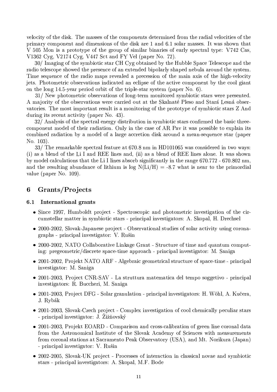velocity of the disk. The masses of the components determined from the radial velocities of the primary component and dimensions of the disk are 1 and 6.1 solar masses. It was shown that V 505 Mon is a prototype of the group of similar binaries of early spectral type: V742 Cas, V1362 Cyg, V2174 Cyg, V447 Sct and FY Vel (paper No. 72).

30/ Imaging of the symbiotic star CH Cyg obtained by the Hubble Space Telescope and the radio telescope showed the presence of an extended bipolarly shaped nebula around the system. Time sequence of the radio maps revealed a precession of the main axis of the high-velocity jets. Photometric observations indicated an eclipse of the active component by the cool giant on the long 14.5-year period orbit of the triple-star system (paper No. 6).

31/ New photometric observations of long-term monitored symbiotic stars were presented. A majority of the observations were carried out at the Skalnaté Pleso and Stará Lesná observatories. The most important result is a monitoring of the prototype of symbiotic stars Z And during its recent activity (paper No. 43).

32/ Analysis of the spectral energy distribution in symbiotic stars confirmed the basic threecomponent model of their radiation. Only in the case of AR Pay it was possible to explain its combined radiation by a model of a large accretion disk around a mean-sequence star (paper No. 103).

33/ The remarkable spectral feature at 670.8 nm in HD101065 was considered in two ways: (i) as a blend of the Li I and REE lines and, (ii) as a blend of REE lines alone. It was shown by model calculations that the Li I lines absorb significantly in the range 670.772 - 670.802 nm. and the resulting abundance of lithium is log  $N(Li/H) = -8.7$  what is near to the primordial value (paper No. 109).

#### Grants/Projects 6

#### International grants  $6.1$

- Since 1997, Humboldt project Spectroscopic and photometric investigation of the circumstellar matter in symbiotic stars - principal investigators: A. Skopal, H. Drechsel
- 2000-2002, Slovak-Japanese project Observational studies of solar activity using coronagraphs - principal investigator: V. Rušin
- 2000-2002, NATO Collaborative Linkage Grant Structure of time and quantum computing: pregeometric/discrete space-time approach - principal investigator: M. Saniga
- 2001-2002, Projekt NATO ARF Algebraic geometrical structure of space-time principal investigator: M. Saniga
- $\bullet$  2001-2003, Project CNR-SAV La struttura matematica del tempo soggetivo principal investigators: R. Buccheri, M. Saniga
- 2001-2003, Project DFG Solar granulation principal investigators: H. Wöhl, A. Kučera, J. Rybák
- 2001-2003, Slovak-Czech project Complex investigation of cool chemically peculiar stars - principal investigator: J. Žižňovský
- 2001-2003, Projekt EOARD Comparison and cross-calibration of green line coronal data from the Astronomical Institute of the Slovak Academy of Sciences with measurements from coronal stations at Sacramento Peak Observatory (USA), and Mt. Norikura (Japan) - principal investigator: V. Rušin
- 2002-2005, Slovak-UK project Processes of interaction in classical novae and symbiotic stars - principal investigators: A. Skopal, M.F. Bode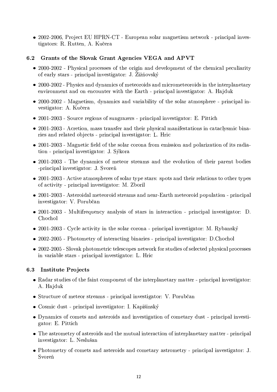• 2002-2006, Project EU HPRN-CT - European solar magnetism network - principal investigators: R. Rutten, A. Kučera

# 6.2 Grants of the Slovak Grant Agencies VEGA and APVT

- 2000-2002 Physical processes of the origin and development of the chemical peculiarity of early stars - principal investigator: J. Žižňovský
- 2000-2002 Physics and dynamics of meteoroids and micrometeoroids in the interplanetary environment and on encounter with the Earth - principal investigator: A. Hajduk
- 2000-2002 Magnetism, dynamics and variability of the solar atmosphere principal investigator: A. Kučera
- $\bullet$  2001-2003 Source regions of sungrazers principal investigator: E. Pittich
- 2001-2003 Acretion, mass transfer and their physical manifestations in cataclysmic binaries and related objects - principal investigator: L. Hric
- 2001-2003 Magnetic field of the solar corona from emission and polarization of its radiation - principal investigator: J. Sýkora
- $\bullet$  2001-2003 The dynamics of meteor streams and the evolution of their parent bodies -principal investigator: J. Svoreň
- $\bullet$  2001-2003 Active atmospheres of solar type stars: spots and their relations to other types of activity - principal investigator: M. Zboril
- 2001-2003 Asteroidal meteoroid streams and near-Earth meteoroid population principal investigator: V. Porubčan
- $\bullet$  2001-2003 Multifrequency analysis of stars in interaction principal investigator: D. Chochol
- 2001-2003 Cycle activity in the solar corona principal investigator: M. Rybanský
- 2002-2005 Photometry of interacting binaries principal investigator: D.Chochol
- 2002-2005 Slovak photometric telescopes network for studies of selected physical processes in variable stars - principal investigator: L. Hric

# 6.3 Institute Projects

- Radar studies of the faint component of the interplanetary matter principal investigator: A. Hajduk
- Structure of meteor streams principal investigator: V. Porubčan
- $\bullet$  Cosmic dust principal investigator: I. Kapišinský
- Dynamics of comets and asteroids and investigation of cometary dust principal investigator: E. Pittich
- The astrometry of asteroids and the mutual interaction of interplanetary matter principal investigator: L. Neslušan
- Photometry of comets and asteroids and cometary astrometry principal investigator: J. Svoreň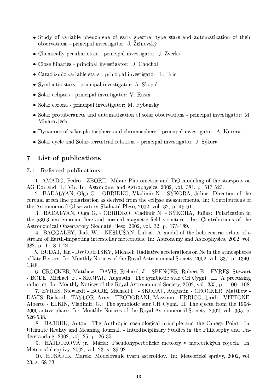- Study of variable phenomena of early spectral type stars and automatization of their observations - principal investigator: J. Žižňovský
- Chemically peculiar stars principal investigator: J. Zverko
- $\bullet$  Close binaries principal investigator: D. Chochol
- Cataclizmic variable stars principal investigator: L. Hric
- Symbiotic stars principal investigator: A. Skopal
- $\bullet$  Solar eclipses principal investigator: V. Rušin
- $\bullet$  Solar corona principal investigator: M. Rybanský
- Solar protuberances and automatization of solar observations principal investigator: M. Minarovjech
- Dynamics of solar photosphere and chromosphere principal investigator: A. Kučera
- · Solar cycle and Solar-terrestrial relations principal investigator: J. Sýkora

#### List of publications  $\overline{7}$

#### Refereed publications  $7.1$

1. AMADO, Pedro - ZBORIL, Milan: Photometric and TiO modeling of the starspots on AG Dor and HU Vir. In: Astronomy and Astrophysics, 2002, vol. 381, p. 517-523.

2. BADALYAN, Olga G. - OBRIDKO, Vladimir N. - SÝKORA, Július: Direction of the coronal green line polarization as derived from the eclipse measurements. In: Contributions of the Astronomical Observatory Skalnaté Pleso, 2002, vol. 32, p. 49-61.

3. BADALYAN, Olga G. - OBRIDKO, Vladimir N. - SÝKORA, Július: Polarization in the 530.3 nm emission line and coronal magnetic field structure. In: Contributions of the Astronomical Observatory Skalnaté Pleso, 2002, vol. 32, p. 175-189.

4. BAGGALEY, Jack W. - NESLUŠAN, Luboš: A model of the heliocentric orbits of a stream of Earth-impacting interstellar meteoroids. In: Astronomy and Astrophysics, 2002, vol. 382, p. 1118-1124.

5. BUDAJ, Ján - DWORETSKY, Michael: Radiative accelerations on Ne in the atmospheres of late B stars. In: Monthly Notices of the Royal Astronomical Society, 2002, vol. 337, p. 1340-1348.

6. CROCKER, Matthew - DAVIS, Richard, J. - SPENCER, Robert E. - EYRES, Stewart - BODE, Michael, F. - SKOPAL, Augustin: The symbiotic star CH Cygni. III. A precessing radio jet. In: Monthly Notices of the Royal Astronomical Society, 2002, vol. 335, p. 1100-1108.

7. EYRES, Stewardt - BODE, Michael F. - SKOPAL, Augustin - CROCKER, Matthew -DAVIS, Richard - TAYLOR, Arny - TEODORANI, Massimo - ERRICO, Luidi - VITTONE, Alberto - ELKIN, Vladimir, G.: The symbiotic star CH Cygni. II. The ejecta from the 1998-2000 active phase. In: Monthly Notices of the Royal Astronomical Society, 2002, vol. 335, p. 526-538.

8. HAJDUK, Anton: The Anthropic cosmological principle and the Omega Point. In: Ultimate Reality and Meaning Journal, - Interdisciplinary Studies in the Philosophy and Understanding, 2002, vol. 25, p. 26-35.

9. HAJDUKOVÁ jr., Mária: Pseudohyperbolické meteory v meteorických rojoch. In: Meteorické správy, 2002, vol. 23, s. 89-92.

10. HUSÁRIK, Marek: Modelovanie tvaru asteroidov. In: Meteorické správy, 2002, vol. 23, s. 68-73.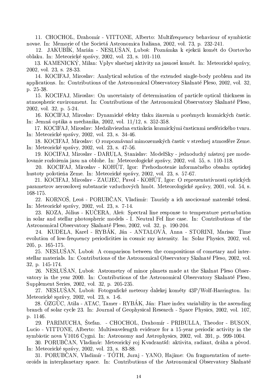11. CHOCHOL, Drahomír - VITTONE, Alberto: Multifrequency behaviour of symbiotic novae. In: Memorie of the Societá Astronomica Italiana, 2002, vol. 73, p. 232-241.

12. JAKUBÍK, Marián - NESLUŠAN, Luboš: Poznámka k ejekcii komét do Oortovho oblaku. In: Meteorické správy, 2002, vol. 23, s. 101-110.

13. KAMENICKÝ, Milan: Vplyv slnečnej aktivity na jasnost komét. In: Meteorické správy, 2002, vol. 23, s. 28-33.

14. KOCIFAJ, Miroslav: Analytical solution of the extended single-body problem and its applications. In: Contributions of the Astronomical Observatory Skalnaté Pleso, 2002, vol. 32, p. 25-38.

15. KOCIFAJ, Miroslav: On uncertainty of determination of particle optical thickness in atmospheric environment. In: Contributions of the Astronomical Observatory Skalnaté Pleso, 2002, vol. 32, p. 5-24.

16. KOCIFAJ, Miroslav: Dynamické efekty tlaku žiarenia u poréznych kozmických častíc. In: Jemná optika a mechanika, 2002, vol. 11/12, s. 352-358.

17. KOCIFAJ, Miroslav: Medzihviezdna extinkcia kozmickými časticami nesférického tvaru. In: Meteorické správy, 2002, vol. 23, s. 34-46.

18. KOCIFAJ, Miroslav: O rozpoznávaní mimozemských častíc v strednej atmosfére Zeme. In: Meteorické správy, 2002, vol. 23, s. 47-56.

19. KOCIFAJ, Miroslav - DARULA, Stanislav: ModelSky - jednoduchý nástroj pre modelovanie rozloženia jasu na oblohe. In: Meteorologické zprávy, 2002, vol. 55, s. 110-118.

20. KOCIFAJ, Miroslav - KOHÚT, Igor: Prehodnotenie informačného obsahu optickej hustoty polotieňa Zeme. In: Meteorické správy, 2002, vol. 23, s. 57-67.

21. KOCIFAJ, Miroslav - ZAUJEC, Pavol - KOHUT, Igor: O reprezentatívnosti optických parametrov aerosolovej substancie vzduchových hmět. Meteorologické zprávy, 2001, vol. 54, s. 168-175.

22. KORNOŠ, Leoš - PORUBČAN, Vladimír: Tauridy a ich asociované materské telesá. In: Meteorické správy, 2002, vol. 23, s. 7-14.

23. KOZA, Július - KUČERA, Aleš: Spectral line response to temperature perturbation in solar and stellar photospheric models - I. Neutral FeI line case. In: Contributions of the Astronomical Observatory Skalnaté Pleso, 2002, vol. 32, p. 190-204.

24. KUDELA, Karel - RYBÁK, Ján - ANTALOVÁ, Anna - STORINI, Marisa: Time evolution of low-frequency periodicities in cosmic ray intensity. In: Solar Physics, 2002, vol. 205, p. 165-175.

25. NESLUSAN, Luboš: A comparison between the compositions of cometary and interstellar materials. In: Contributions of the Astronomical Observatory Skalnaté Pleso, 2002, vol. 32. p. 145-174.

26. NESLUŠAN, Luboš: Astrometry of minor planets made at the Skalnat Pleso Observatory in the year 2000. In: Contributions of the Astronomical Observatory Skalnaté Pleso, Supplement Series, 2002, vol. 32, p. 205-235.

27. NESLUŠAN, Luboš: Fotografické meteory ďalekej kométy 43P/Wolf-Harrington. In: Meteorické správy, 2002, vol. 23, s. 1-6.

28. ÖZGÜC, Atila - ATAC, Tamer - RYBÁK, Ján: Flare index variability in the ascending branch of solar cycle 23. In: Journal of Geophysical Research - Space Physics, 2002, vol. 107, p. 1146.

29. PARIMUCHA, Štefan. - CHOCHOL, Drahomír - PRIBULLA, Theodor - BUSON, Lucio - VITTONE, Alberto: Multiwavelength evidence for a 15-year periodic activity in the symbiotic nova V1016 Cygni. In: Astronomy and Astrophysics, 2002, vol. 391, p. 999-1004.

30. PORUBČAN, Vladimír: Meteorický roj Kvadrantíd: aktivita, radiant, dráha a povod. In: Meteorické správy, 2002, vol. 23, s. 83-88.

31. PORUBČAN, Vladimír - TÓTH, Juraj - YANO, Hajime: On fragmentation of meteoroids in interplanetary space. In: Contributions of the Astronomical Observatory Skalnaté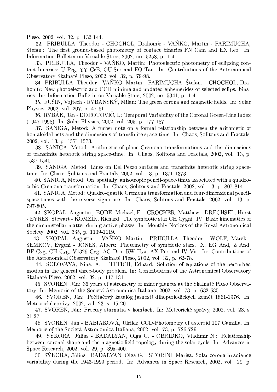Pleso, 2002, vol. 32, p. 132-144.

32. PRIBULLA, Theodor - CHOCHOL, Drahomír - VAŇKO, Martin - PARIMUCHA, Štefan.: The first ground-based photometry of contact binaries FN Cam and EX Leo. In: Information Bulletin on Variable Stars, 2002, no. 5258, p. 1-4.

33. PRIBULLA, Theodor - VANKO, Martin: Photoelectric photometry of eclipsing contact binaries: U Peg, YY CrB, OU Ser and EQ Tau. In: Contributions of the Astronomical Observatory Skalnaté Pleso, 2002, vol. 32, p. 79-98.

34. PRIBULLA, Theodor - VAŇKO, Martin - PARIMUCHA, Štefan. - CHOCHOL, Drahomir: New photoelectric and CCD minima and updated ephemerides of selected eclips. binaries. In: Information Bulletin on Variable Stars, 2002, no. 5341, p. 1-4.

35. RUSIN, Vojtech - RYBANSKÝ, Milan: The green corona and magnetic fields. In: Solar Physics, 2002, vol. 207, p. 47-61.

36. RYBÁK, Ján - DOROTOVIČ, I.: Temporal Variability of the Coronal Green-Line Index (1947-1998). In: Solar Physics, 2002, vol. 205, p. 177-187.

37. SANIGA, Metod: A furher note on a formal relationship between the arithmetic of homaloidal nets and the dimensions of transfinite space-time. In: Chaos, Solitons and Fractals, 2002, vol. 13, p. 1571-1573.

38. SANIGA, Metod: Arithmetic of plane Cremona transformations and the dimensions of transfinite heterotic string space-time. In: Chaos, Solitons and Fractals, 2002, vol. 13, p. 1537-1540.

39. SANIGA, Metod: Lines on Del Pezzo surfaces and transfinite heterotic string spacetime. In: Chaos, Solitons and Fractals, 2002, vol. 13, p. 1371-1373.

40. SANIGA, Metod: On 'spatially' anisotropic pencil-space-times associated with a quadrocubic Cremona transformation. In: Chaos, Solitons and Fractals, 2002, vol. 13, p. 807-814.

41. SANIGA, Metod: Quadro-quartic Cremona transformation and four-dimensional pencilspace-times with the reverse signature. In: Chaos, Solitons and Fractals, 2002, vol. 13, p. 797-805.

42. SKOPAL, Augustin - BODE, Michael, F. - CROCKER, Matthew - DRECHSEL, Horst - EYRES, Stewart - KOMZIK, Richard: The symbiotic star CH Cygni. IV. Basic kinematics of the circumstellar matter during active phases. In: Monthly Notices of the Royal Astronomical Society, 2002, vol. 335, p. 1109-1119.

SKOPAL, Augustin - VANKO, Martin - PRIBULLA, Theodor - WOLF, Marek -43. SEMKOV, Evgeni - JONES, Albert: Photometry of symbiotic stars. X. EG And, Z And, BF Cyg, CH Cyg, V1329 Cyg, AG Dra, RW Hya, AX Per and IV Vir. In: Contributions of the Astronomical Observatory Skalnaté Pleso, 2002, vol. 32, p. 62-78.

44. SOLOVAYA, Nina, A. - PITTICH, Eduard: Solution of equations of the perturbed motion in the general three-body problem. In: Contributions of the Astronomical Observatory Skalnaté Pleso, 2002, vol. 32, p. 117-131.

45. SVOREN, Ján: 36 years of astrometry of minor planets at the Skalnaté Pleso Observatory. In: Memorie of the Societá Astronomica Italiana, 2002, vol. 73, p. 632-635.

46. SVOREN, Ján: Počítačový katalóg jasností dlhoperiodických komét 1861-1976. In: Meteorické správy, 2002, vol. 23, s. 15-20.

47. SVOREN, Ján: Procesy starnutia v komťach. In: Meteorické správy, 2002, vol. 23, s.  $21 - 27$ .

48. SVOREŇ, Ján - BABIAKOVÁ, Ulrika: CCD-Photometry of asteroid 107 Camilla. In: Memorie of the Societá Astronomica Italiana, 2002, vol. 73, p. 726-729.

49. SÝKORA, Július - BADALYAN, Olga G. - OBRIDKO, Vladimir N.: Relationship between coronal shape and the magnetic field topology during the solar cycle. In: Advances in Space Research, 2002, vol. 29, p. 395-400.

50. SÝKORA, Július - BADALYAN, Olga G. - STORINI, Marisa: Solar corona irradiance variability during the 1943-1999 period. In: Advances in Space Research, 2002, vol. 29, p.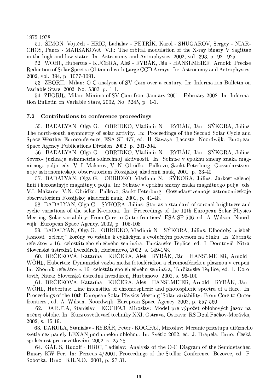1975-1978.

51. ŠIMON, Vojtěch - HRIC, Ladislav - PETRÍK, Karol - SHUGAROV, Sergey - NIAR-CHOS, Panos - MARSAKOVA, V.I.: The orbital modulation of the X-ray binary V Sagittae in the high and low states. In: Astronomy and Astrophysics, 2002, vol. 393, p. 921-925.

52. WOHL, Hubertus - KUCERA, Aleš - RYBAK, Ján - HANSLMEIER, Arnold: Precise Reduction of Solar Spectra Obtained with Large CCD Arrays. In: Astronomy and Astrophysics, 2002, vol. 394, p. 1077-1091.

53. ZBORIL, Milan: O-C analysis of SV Cam over a century. In: Information Bulletin on Variable Stars, 2002, No. 5303, p. 1-1.

54. ZBORIL, Milan: Minima of SV Cam from January 2001 - February 2002. In: Information Bulletin on Variable Stars, 2002, No. 5245, p. 1-1.

#### $7.2$ Contributions to conference proceedings

55. BADALYAN, Olga G. - OBRIDKO, Vladimir N. - RYBÁK, Ján - SÝKORA, Július: The north-south asymmetry of solar activity. In: Proceedings of the Second Solar Cycle and Space Weather Euroconference, ESA SP-477, ed. H. Sawaya- Lacoste. Noordwijk: European Space Agency Publications Division, 2002, p. 201-204.

56. BADALYAN, Olga G. - OBRIDKO, Vladimir N. - RYBÁK, Ján - SÝKORA, Július: Severo- juzhnaja asimmetria solnechnoj aktivnosti. In: Solntse v epokhu smeny znaka magnitnogo polja, eds. V. I. Makarov, V. N. Obridko. Pulkovo, Sankt-Peterburg: Gossudarstvennoje astronomieskoje observatorium Rossijskoj akademij nauk, 2001. p. 33-40.

57. BADALYAN, Olga G. - OBRIDKO, Vladimir N. - SÝKORA, Július: Jarkost zelenoj linii i koronalnyje magnitnyje polja. In: Solntse v epokhu smeny znaka magnitnogo polja, eds. V.I. Makarov, V.N. Obridko. Pulkovo, Sankt-Peterburg: Gossudarstvennoje astronomieskoje observatorium Rossijskoj akademii nauk, 2001, p. 41-48.

58. BADALYAN, Olga G. - SYKORA, Július: Star as a standard of coronal brightness and cyclic variations of the solar K-corona. In: Proceedings of the 10th European Solar Physics Meeting 'Solar variability: From Core to Outer frontiers', ESA SP-506, ed. A. Wilson. Noordwijk: European Space Agency, 2002, p. 105-108.

59. BADALYAN, Olga G. - OBRIDKO, Vladimir N. - SÝKORA, Július: Dlhodobý priebeh jasnosti "zelenej" koróny vo vzťahu k cyklickým a evolučným procesom na Slnku. In: Zborník referátov z 16. celoštátneho slnečného seminára, Turčianske Teplice, ed. I. Dorotovič, Nitra: Slovenská ústredná hvezdáreň, Hurbanovo, 2002, s. 149-158.

60. BRČEKOVÁ, Katarína - KUČERA, Aleš - RYBÁK, Ján - HANSLMEIER, Arnold -WÖHL, Hubertus: Dynamická väzba medzi fotosférickou a chromosférickou plazmou v erupcii. In: Zborník referátov z 16. celoštátneho slnečného seminára, Turčianske Teplice, ed. I. Dorotovič, Nitra: Slovenská ústredná hvezdáreň, Hurbanovo, 2002, s. 96-100.

61. BRČEKOVÁ, Katarína - KUČERA, Aleš - HANSLMEIER, Arnold - RYBÁK, Ján -WOHL, Hubertus: Line intensities of chromospheric and photospheric spectra of a flare. In: Proceedings of the 10th European Solar Physics Meeting 'Solar variability: From Core to Outer frontiers', ed. A. Wilson. Noordwijk: European Space Agency, 2002, p. 557-560.

62. DARULA, Stanislav - KOCIFAJ, Miroslav: Model pre výpočet oblohových jasov na nočnej oblohe. In: Kurz osvětlovací techniky XXI, Ostrava, Ostrava: RS Døul Pačkov-Morávka, 2002, s. 15-19.

63. DARULA, Stanislav - RYBAR, Peter - KOCIFAJ, Miroslav: Meranie priestupu difúzneho svetla cez panely LEXAN pod umelou oblohou. In: Světlo 2002, ed. J. Drapela. Brno: Česká společnost pro osvětlování, 2002, s. 25-28.

64. GALIS, Rudolf - HRIC, Ladislav: Analysis of the O-C Diagram of the Semidetached Binary KW Per. In: Perseus 4/2001, Proceedings of the Stellar Conference, Bezovec, ed. P. Sobotka. Brno: B.R.N.O., 2001, p. 27-31.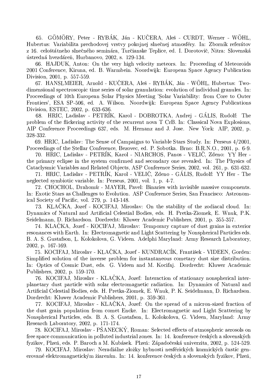GÖMÖRY, Peter - RYBÁK, Ján - KUČERA, Aleš - CURDT, Werner - WÖHL, 65. Hubertus: Variabilita prechodovej vrstvy pokojnej slnečnej atmosféry. In: Zborník referátov z 16. celoštátneho slnečného seminára, Turčianske Teplice, ed. I. Dorotovič, Nitra: Slovenská ústredná hvezdáreň, Hurbanovo, 2002, s. 129-134.

66. HAJDUK, Anton: On the very high velocity meteors. In: Proceeding of Meteoroids 2001 Conference, Kiruna, ed. B. Warmbein. Noordwijk: European Space Agency Publication Division, 2001, p. 557-559.

67. HANSLMEIER, Arnold - KUČERA, Aleš - RYBÁK, Ján - WÖHL, Hubertus: Twodimensional spectroscopic time series of solar granulation: evolution of individual granules. In: Proceedings of 10th European Solar Physics Meeting 'Solar Variability: from Core to Outer Frontiers', ESA SP-506, ed. A. Wilson. Noordwijk: European Space Agency Publications Division, ESTEC, 2002, p. 633-636.

68. HRIC, Ladislav - PETRÍK, Karol - DOBROTKA, Andrej - GÁLIS, Rudolf: The problem of the flickering activity of the recurrent nova T CrB. In: Classical Nova Explosions, AIP Conference Proceedings 637, eds. M. Hernanz and J. Jose. New York: AIP, 2002, p. 328-332.

69. HRIC, Ladislav: The Sense of Campaigns to Variable Stars Study. In: Perseus 4/2001, Proceedings of the Stellar Conference, Bezovec, ed. P. Sobotka. Brno: B.R.N.O., 2001, p. 6-9.

70. HRIC, Ladislav - PETRIK, Karol - NIARCHOS, Panos - VELIC, Zdeno: YY Her the primary eclipse in the system confirmed and secondary one revealed. In: The Physics of Cataclysmic Variables and Related Objects, ASP Conference Series, 2002, vol. 261, p. 631-632.

71. HRIC, Ladislav - PETRIK, Karol - VELIC, Zdeno - GALIS, Rudolf: YY Her - The neglected symbiotic variable. In: Perseus, 2001, vol. 1, p. 4-7.

72. CHOCHOL, Drahomír - MAYER, Pavel: Binaries with invisible massive components. In: Exotic Stars as Challenges to Evolution. ASP Conference Series, San Francisco: Astronomical Society of Pacific, vol. 279, p. 143-148.

73. KLAČKA, Jozef - KOCIFAJ, Miroslav: On the stability of the zodiacal cloud. In: Dynamics of Natural and Artificial Celestial Bodies, eds. H. Pretka-Ziomek, E. Wnuk, P.K. Seidelmann, D. Richardson. Dordrecht: Kluwer Academic Publishers, 2001, p. 355-357.

74. KLAČKA, Jozef - KOCIFAJ, Miroslav: Temporary capture of dust grains in exterior resonances with Earth. In: Electromagnetic and Light Scattering by Nonspherical Particles eds. B. A. S. Gustafson, L. Kolokolova, G. Videen. Adelphi Maryland: Army Research Laboratory, 2002, p. 167-169.

75. KOCIFAJ, Miroslav - KLAČKA, Jozef - KUNDRACÍK, František - VIDEEN, Gorden: Simplified solution of the inverse problem for instantaneous cometary dust size distribution. In: Optics of Cosmic Dust, eds. G. Videen and M. Kocifaj. Dordrecht: Kluwer Academic Publishers, 2002, p. 159-170.

76. KOCIFAJ, Miroslav - KLAČKA, Jozef: Interaction of stationary nonspherical interplanetary dust particle with solar electromagnetic radiation. In: Dynamics of Natural and Artificial Celestial Bodies, eds. H. Pretka-Ziomek, E. Wnuk, P. K. Seidelmann, D. Richardson. Dordrecht: Kluwer Academic Publishers, 2001, p. 359-361.

77. KOCIFAJ, Miroslav - KLAČKA, Jozef: On the spread of a micron-sized fraction of the dust grain population from comet Encke. In: Electromagnetic and Light Scattering by Nonspherical Particles, eds. B. A. S. Gustafson, L. Kolokolova, G. Videen, Maryland: Army Research Laboratory, 2002, p. 171-174.

78. KOCIFAJ, Miroslav - PSANECKY, Roman: Selected effects of atmospheric aerosols on free space communication in polluted industrial zones. In: 14. konference českých a slovenských fyzikov, Plzeň, eds. P. Baroch a M. Kubásek. Plzeň: Západočeská univerzita, 2002, p. 524-529.

79. KOCIFAJ, Miroslav: Neradiálne zložky hybnosti nesférických kozmických častíc generované elektromagnetickým žiarením. In: 14. konference českých a slovenských fyzikov, Plzeň,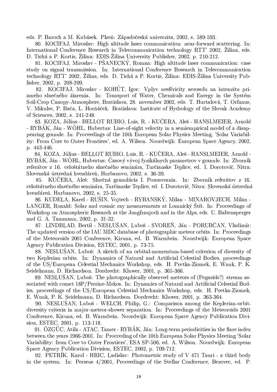eds. P. Baroch a M. Kubásek. Plzeň: Západočeská univerzita, 2002, s. 589-593.

80. KOCIFAJ, Miroslav: High altitude laser communication: near-forward scattering. In: International Conference Research in Telecommunication technology RTT' 2002. Žilina, eds. D. Tichá a P. Kortis, Žilina: EDIS-Žilina University Publisher, 2002, p. 210-212.

81. KOCIFAJ, Miroslav - PSANECKY, Roman: High altitude laser communication: case study on signal transmission. In: International Conference Research in Telecommunication technology RTT' 2002, Žilina, eds. D. Tichá a P. Kortis, Žilina: EDIS-Žilina University Publisher, 2002, p. 208-209.

82. KOCIFAJ, Miroslav - KOHÚT, Igor: Vplyv nesféricity aerosolu na intenzitu priameho slnečného žiarenia. In: Transport of Water, Chemicals and Energy in the Systém Soil-Crop Canopy-Atmosphere, Bratislava, 28. november 2002, eds. T. Hurtalová, T. Orfanus, V. Mikulec, P. Bača, L. Horňáček. Bratislava: Institute of Hydrology of the Slovak Academy of Sciences, 2002, s. 241-248.

83. KOZA, Július - BELLOT RUBIO, Luis, R. - KUČERA, Aleš - HANSLMEIER, Arnold - RYBAK, Ján - WOHL, Hubertus: Line-of-sight velocity in a semiempirical model of a disappearing granule. In: Proceedings of the 10th European Solar Physics Meeting, 'Solar Variability: From Core to Outer Frontiers', ed. A. Wilson. Noordwijk: European Space Agency, 2002, p. 443-446.

84. KOZA, Július - BELLOT RUBIO, Luis, R. - KUČERA, Aleš - HANSLMEIER, Arnold -RYBÁK, Ján - WÖHL, Hubertus: Časový vývoj fyzikálnych parametrov v granule. In: Zborník referátov z 16. celoštátneho slnečného seminára, Turčianske Teplice, ed. I. Dorotovič, Nitra: Slovenská ústredná hvezdáreň, Hurbanovo, 2002, s. 36-39.

KUČERA, Aleš: Slnečná granulácia I. Pozorovania. In: Zborník referátov z 16. 85. celoštátneho slnečného seminára, Turčianske Teplice, ed. I. Dorotovič, Nitra: Slovenská ústredná hvezdáreň, Hurbanovo, 2002, s. 25-35.

86. KUDELA, Karel - RUŠIN, Vojtech - RYBANSKÝ, Milan - MINAROVJECH, Milan -LANGER, Ronald: Solar and cosmic ray measurements at Lomnický Štít. In: Proceedings of Workshop on Atmospheric Research at the Jungfraujoch and in the Alps, eds. U. Baltensperger and G. A. Tammann, 2002, p. 31-32.

87. LINDBLAD, Bertil - NESLUŠAN, Luboš - SVOREŇ, Ján - PORUBČAN, Vladimír: The updated version of the IAU MDC database of photographic meteor orbits. In: Proceedings of the Meteoroids 2001 Conference, Kiruna, ed. B. Warmbein. Noordwijk: European Space Agency Publication Division, ESTEC, 2001, p. 73-75.

88. NESLUSAN, Luboš: A sketch of an orbital-momentum-based criterion of diversity of two Keplerian orbits. In: Dynamics of Natural and Artificial Celestial Bodies, proceedings of the US/European Celestial Mechanics Workshop, eds. H. Pretka-Ziomek, E. Wnuk, P. K. Seidelmann, D. Richardson. Dordrecht: Kluwer, 2001, p. 365-366.

89. NESLUŠAN, Luboš: The photographically observed meteors of (Pegasids?) stream associated with comet 18P/Perrine-Mrkos. In: Dynamics of Natural and Artificial Celestial Bodies, proceedings of the US/European Celestial Mechanics Workshop, eds. H. Pretka-Ziomek, E. Wnuk, P. K. Seidelmann, D. Richardson. Dordrecht: Kluwer, 2001, p. 363-364.

90. NESLUŠAN, Luboš - WELCH, Philip, G.: Comparison among the Keplerian-orbitdiversity criteria in major-meteor-shower separation. In: Proceedings of the Meteoroids 2001 Conference, Kiruna, ed. B. Warmbein. Noordwijk: European Space Agency Publication Division, ESTEC, 2001, p. 113-118.

91. ÖZGÜC, Atila - ATAC, Tamer - RYBÁK, Ján: Long-term periodicities in the flare index between the years 1966-2001. In: Procceding of the 10th European Solar Physics Meeting 'Solar Variability: from Core to Outer Frontiers', ESA SP-506, ed. A. Wilson. Noordwijk: European Space Agency Publication Division, ESTEC, 2002, p. 709-712.

92. PETRÍK, Karol - HRIC, Ladislav: Photometric study of V 471 Tauri - a third body in the system. In: Perseus 4/2001, Proceedings of the Stellar Conference, Bezovec, ed. P.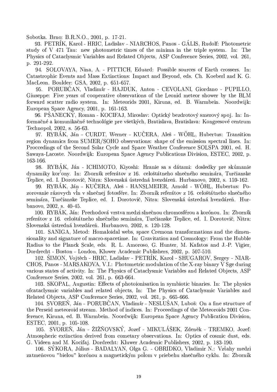Sobotka. Brno: B.R.N.O., 2001, p. 17-21.

93. PETRÍK, Karol - HRIC, Ladislav - NIARCHOS, Panos - GÁLIS, Rudolf: Photometric study of V 471 Tau: new photometric times of the minima in the triple system. In: The Physics of Cataclysmic Variables and Related Objects, ASP Conference Series, 2002, vol. 261, p. 291-292.

94. SOLOVAYA, Nina, A. - PITTICH, Eduard: Possible sources of Earth crossers. In: Catastrophic Events and Mass Extinctions: Impact and Beyond, eds. Ch. Koeberl and K. G. MacLeon. Boulder: GSA, 2002, p. 651-657.

95. PORUBČAN, Vladimír - HAJDUK, Anton - CEVOLANI, Giordano - PUPILLO, Giuseppe: Five years of cooperative observations of the Leonid meteor shower by the BLM forward scatter radio system. In: Meteorids 2001, Kiruna, ed. B. Warmbein. Noordwijk: European Space Agency, 2001, p. 161-163.

96. PŠANECKÝ, Roman - KOCIFAJ, Miroslav: Optický bezdrotový smerový spoj. In: Informačné a komunikačné technológie pre všetkých, Bratislava, Bratislava: Kongresové centrum Technopol, 2002, s. 56-63.

97. RYBÁK, Ján - CURDT, Werner - KUČERA, Aleš - WOHL, Hubertus: Transition region dynamics from SUMER/SOHO observations: shape of the emission spectral lines. In: Proceedings of the Second Solar Cycle and Space Weather Conference SOLSPA 2001, ed. H. Sawaya-Lacoste. Noordwijk: European Space Agency Publications Division, ESTEC, 2002, p. 163-166.

98. RYBÁK, Ján - ICHIMOTO, Kiyoshi: Hranie sa s dátami: dosledky pre skúmanie dynamiky kor<sup>3</sup>ony. In: Zborník referátov z 16. celoštátneho slnečného seminára, Turčianske Teplice, ed. I. Dorotovič, Nitra: Slovenská ústredná hvezdáreň. Hurbanovo, 2002, s. 159-162.

99. RYBÁK, Ján - KUČERA, Aleš - HANSLMEIER, Arnold - WOHL, Hubertus: Pozorovanie rázovych vln v slnečnej fotosfére. In: Zborník referátov z 16. celoštátneho slnečného seminára, Turčianske Teplice, ed. I. Dorotovič, Nitra: Slovenská ústredná hvezdáreň. Hurbanovo, 2002, s. 40-45.

100. RYBÁK, Ján: Prechodová vrstva medzi slnečnou chromosférou a korónou. In: Zborník referátov z 16. celoštátneho slnečného seminára, Turčianske Teplice, ed. I. Dorotovič, Nitra: Slovenská ústredná hvezdáreň. Hurbanovo, 2002, s. 120-128.

101. SANIGA, Metod: Homaloidal webs, space Cremona transformations and the dimensionality and signature of macro-spacetime. In: Gravitation and Cosmology: From the Hubble Radius to the Planck Scale, eds. R. L. Amoroso, G. Hunter, M. Kafatos and J.-P. Vigier, Dordrecht - Boston - London, Kluwer Academic Publishers, 2002, p. 507-510.

102. ŠIMON, Vojtěch - HRIC, Ladislav - PETRÍK, Karol - SHUGAROV, Sergey - NIAR-CHOS, Panos - MARSAKOVA, V.I.: Photometric modulation of the X-ray binary V Sge during various states of activity. In: The Physics of Cataclysmic Variables and Related Objects, ASP Conference Series, 2002, vol. 261, p. 663-664.

103. SKOPAL, Augustin: Effects of photoionisation in symbiotic binaries. In: The physics of cataclysmic variables and related objects, In: The Physics of Cataclysmic Variables and Related Objects, ASP Conference Series, 2002, vol. 261, p. 665-666.

104. SVOREŇ, Ján - PORUBČAN, Vladimír - NESLUŠAN, Luboš: On a fine structure of the Perseid meteoroid stream. Method of indices. In: Proceedings of the Meteoroids 2001 Conference, Kiruna, ed. B. Warmbein. Noordwijk: European Space Agency Publication Division, ESTEC, 2001, p. 105-108.

105. SVOREŇ, Ján - ŽIŽŇOVSKÝ, Jozef - MIKULÁŠEK, Zdeněk - TREMKO, Jozef: Atmospheric extinction derived from cometary observations. In: Optics of cosmic dust, eds. G. Videen and M. Kocifaj. Dordrecht: Kluwer Academic Publishers, 2002, p. 183-190.

106. SÝKORA, Július - BADALYAN, Olga G. - OBRIDKO, Vladimir N.: Vzťahy medzi zatmeňovou "bielou" korónou a magnetickým polom v priebehu slnečného cyklu. In: Zborník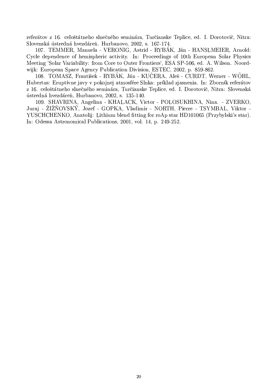referátov z 16. celoštátneho slnečného seminára, Turčianske Teplice, ed. I. Dorotovič, Nitra: Slovenská ústredná hvezdáreň. Hurbanovo, 2002, s. 167-174.

107. TEMMER, Manuela - VERONIG, Astrid - RYBÁK, Ján - HANSLMEIER, Arnold: Cycle dependence of hemispheric activity. In: Proceedings of 10th European Solar Physics Meeting 'Solar Variability: from Core to Outer Frontiers', ESA SP-506, ed. A. Wilson. Noordwijk: European Space Agency Publication Division, ESTEC, 2002, p. 859-862.

108. TOMASZ, František - RYBÁK, Ján - KUČERA, Aleš - CURDT, Werner - WÖHL, Hubertus: Eruptívne javy v pokojnej atmosfére Slnka: príklad zjasnenia. In: Zborník referátov z 16. celoštátneho slnečného seminára, Turčianske Teplice, ed. I. Dorotovič, Nitra: Slovenská ústredná hvezdáreň, Hurbanovo, 2002, s. 135-140.

109. SHAVRINA, Angelina - KHALACK, Victor - POLOSUKHINA, Nina. - ZVERKO, Juraj - ŽIŽŇOVSKÝ, Jozef - GOPKA, Vladimir - NORTH, Pierre - TSYMBAL, Viktor -YUSCHCHENKO, Anatolij: Lithium blend fitting for roAp star HD101065 (Przybylski's star). In: Odessa Astronomical Publications, 2001, vol. 14, p. 249-252.